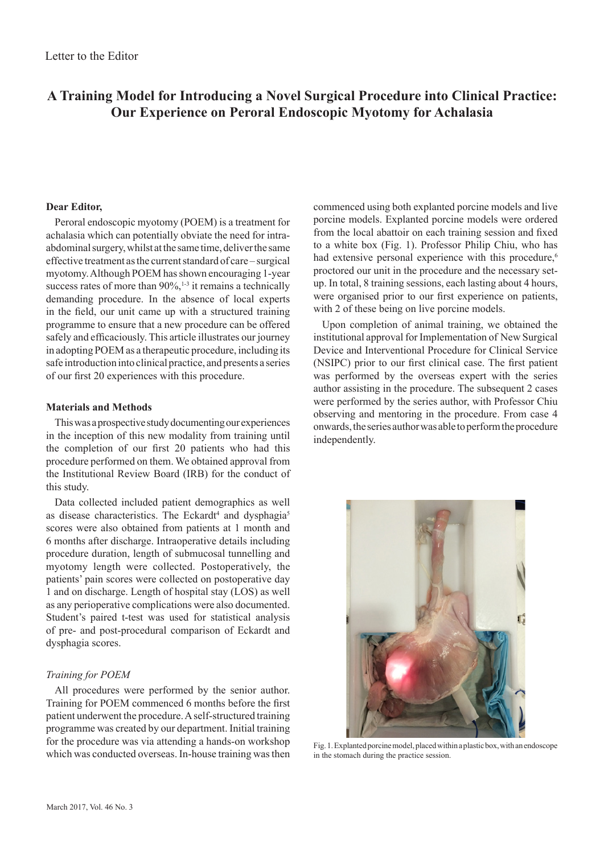# **A Training Model for Introducing a Novel Surgical Procedure into Clinical Practice: Our Experience on Peroral Endoscopic Myotomy for Achalasia**

## **Dear Editor,**

Peroral endoscopic myotomy (POEM) is a treatment for achalasia which can potentially obviate the need for intraabdominal surgery, whilst at the same time, deliver the same effective treatment as the current standard of care – surgical myotomy. Although POEM has shown encouraging 1-year success rates of more than  $90\%$ ,<sup>1-3</sup> it remains a technically demanding procedure. In the absence of local experts in the field, our unit came up with a structured training programme to ensure that a new procedure can be offered safely and efficaciously. This article illustrates our journey in adopting POEM as a therapeutic procedure, including its safe introduction into clinical practice, and presents a series of our first 20 experiences with this procedure.

### **Materials and Methods**

This was a prospective study documenting our experiences in the inception of this new modality from training until the completion of our first 20 patients who had this procedure performed on them. We obtained approval from the Institutional Review Board (IRB) for the conduct of this study.

Data collected included patient demographics as well as disease characteristics. The Eckardt<sup>4</sup> and dysphagia<sup>5</sup> scores were also obtained from patients at 1 month and 6 months after discharge. Intraoperative details including procedure duration, length of submucosal tunnelling and myotomy length were collected. Postoperatively, the patients' pain scores were collected on postoperative day 1 and on discharge. Length of hospital stay (LOS) as well as any perioperative complications were also documented. Student's paired t-test was used for statistical analysis of pre- and post-procedural comparison of Eckardt and dysphagia scores.

### *Training for POEM*

All procedures were performed by the senior author. Training for POEM commenced 6 months before the first patient underwent the procedure. A self-structured training programme was created by our department. Initial training for the procedure was via attending a hands-on workshop which was conducted overseas. In-house training was then

commenced using both explanted porcine models and live porcine models. Explanted porcine models were ordered from the local abattoir on each training session and fixed to a white box (Fig. 1). Professor Philip Chiu, who has had extensive personal experience with this procedure,<sup>6</sup> proctored our unit in the procedure and the necessary setup. In total, 8 training sessions, each lasting about 4 hours, were organised prior to our first experience on patients, with 2 of these being on live porcine models.

Upon completion of animal training, we obtained the institutional approval for Implementation of New Surgical Device and Interventional Procedure for Clinical Service (NSIPC) prior to our first clinical case. The first patient was performed by the overseas expert with the series author assisting in the procedure. The subsequent 2 cases were performed by the series author, with Professor Chiu observing and mentoring in the procedure. From case 4 onwards, the series author was able to perform the procedure independently.



Fig. 1. Explanted porcine model, placed within a plastic box, with an endoscope in the stomach during the practice session.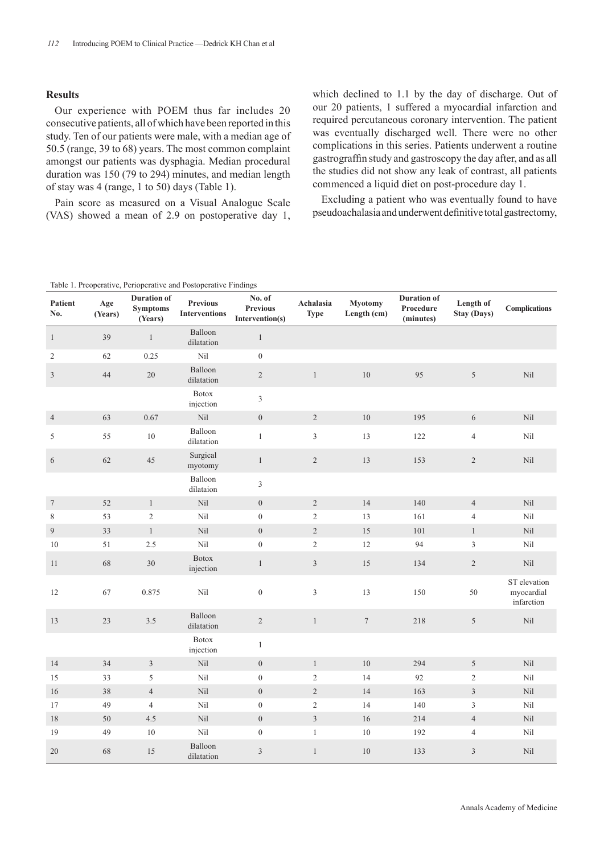## **Results**

Our experience with POEM thus far includes 20 consecutive patients, all of which have been reported in this study. Ten of our patients were male, with a median age of 50.5 (range, 39 to 68) years. The most common complaint amongst our patients was dysphagia. Median procedural duration was 150 (79 to 294) minutes, and median length of stay was 4 (range, 1 to 50) days (Table 1).

Pain score as measured on a Visual Analogue Scale (VAS) showed a mean of 2.9 on postoperative day 1, which declined to 1.1 by the day of discharge. Out of our 20 patients, 1 suffered a myocardial infarction and required percutaneous coronary intervention. The patient was eventually discharged well. There were no other complications in this series. Patients underwent a routine gastrograffin study and gastroscopy the day after, and as all the studies did not show any leak of contrast, all patients commenced a liquid diet on post-procedure day 1.

Excluding a patient who was eventually found to have pseudoachalasia and underwent definitive total gastrectomy,

| Table 1. Preoperative, Perioperative and Postoperative Findings |                |                                                  |                                         |                                              |                          |                               |                                              |                                 |                                          |
|-----------------------------------------------------------------|----------------|--------------------------------------------------|-----------------------------------------|----------------------------------------------|--------------------------|-------------------------------|----------------------------------------------|---------------------------------|------------------------------------------|
| Patient<br>No.                                                  | Age<br>(Years) | <b>Duration of</b><br><b>Symptoms</b><br>(Years) | <b>Previous</b><br><b>Interventions</b> | No. of<br><b>Previous</b><br>Intervention(s) | Achalasia<br><b>Type</b> | <b>Myotomy</b><br>Length (cm) | <b>Duration of</b><br>Procedure<br>(minutes) | Length of<br><b>Stay (Days)</b> | <b>Complications</b>                     |
| $\mathbf{1}$                                                    | 39             | $\mathbf{1}$                                     | Balloon<br>dilatation                   | $\mathbf{1}$                                 |                          |                               |                                              |                                 |                                          |
| $\mathbf{2}$                                                    | 62             | 0.25                                             | Nil                                     | $\boldsymbol{0}$                             |                          |                               |                                              |                                 |                                          |
| $\mathfrak{Z}$                                                  | 44             | $20\,$                                           | Balloon<br>dilatation                   | $\overline{2}$                               | $\mathbf{1}$             | 10                            | 95                                           | 5                               | Nil                                      |
|                                                                 |                |                                                  | Botox<br>injection                      | $\overline{3}$                               |                          |                               |                                              |                                 |                                          |
| $\overline{4}$                                                  | 63             | 0.67                                             | $\rm{Nil}$                              | $\overline{0}$                               | $\overline{2}$           | 10                            | 195                                          | 6                               | Nil                                      |
| 5                                                               | 55             | $10\,$                                           | Balloon<br>dilatation                   | $\,1$                                        | $\mathfrak{Z}$           | 13                            | 122                                          | $\overline{4}$                  | Nil                                      |
| 6                                                               | 62             | 45                                               | Surgical<br>myotomy                     | $\mathbf{1}$                                 | $\mathbf{2}$             | 13                            | 153                                          | $\overline{2}$                  | Nil                                      |
|                                                                 |                |                                                  | Balloon<br>dilataion                    | 3                                            |                          |                               |                                              |                                 |                                          |
| $\boldsymbol{7}$                                                | 52             | $\,1$                                            | Nil                                     | $\overline{0}$                               | $\sqrt{2}$               | 14                            | 140                                          | $\overline{4}$                  | Nil                                      |
| 8                                                               | 53             | $\sqrt{2}$                                       | Nil                                     | $\boldsymbol{0}$                             | $\overline{2}$           | 13                            | 161                                          | $\overline{4}$                  | Nil                                      |
| 9                                                               | 33             | $\mathbf{1}$                                     | Nil                                     | $\boldsymbol{0}$                             | $\overline{2}$           | 15                            | 101                                          | $\mathbf{1}$                    | Nil                                      |
| 10                                                              | 51             | 2.5                                              | Nil                                     | $\boldsymbol{0}$                             | $\sqrt{2}$               | 12                            | 94                                           | $\mathfrak{Z}$                  | Nil                                      |
| 11                                                              | 68             | 30                                               | <b>Botox</b><br>injection               | $\mathbf{1}$                                 | $\overline{3}$           | 15                            | 134                                          | $\sqrt{2}$                      | Nil                                      |
| 12                                                              | 67             | 0.875                                            | Nil                                     | $\boldsymbol{0}$                             | $\mathfrak{Z}$           | 13                            | 150                                          | 50                              | ST elevation<br>myocardial<br>infarction |
| 13                                                              | 23             | $3.5$                                            | Balloon<br>dilatation                   | $\mathbf{2}$                                 | $\mathbf{1}$             | $\boldsymbol{7}$              | 218                                          | 5                               | $\rm{Nil}$                               |
|                                                                 |                |                                                  | <b>Botox</b><br>injection               | $\mathbf{1}$                                 |                          |                               |                                              |                                 |                                          |
| 14                                                              | 34             | $\overline{3}$                                   | Nil                                     | $\overline{0}$                               | $\mathbf{1}$             | 10                            | 294                                          | 5                               | Nil                                      |
| 15                                                              | 33             | 5                                                | Nil                                     | $\boldsymbol{0}$                             | $\sqrt{2}$               | 14                            | 92                                           | $\sqrt{2}$                      | Nil                                      |
| 16                                                              | $38\,$         | $\overline{4}$                                   | Nil                                     | $\overline{0}$                               | $\overline{2}$           | 14                            | 163                                          | $\mathfrak{Z}$                  | Nil                                      |
| 17                                                              | 49             | $\overline{4}$                                   | Nil                                     | $\boldsymbol{0}$                             | $\sqrt{2}$               | 14                            | 140                                          | 3                               | Nil                                      |
| 18                                                              | $50\,$         | 4.5                                              | Nil                                     | $\boldsymbol{0}$                             | $\mathfrak{Z}$           | 16                            | 214                                          | $\overline{4}$                  | Nil                                      |
| 19                                                              | 49             | $10\,$                                           | Nil                                     | $\boldsymbol{0}$                             | $\mathbf{1}$             | $10\,$                        | 192                                          | $\overline{4}$                  | Nil                                      |
| $20\,$                                                          | 68             | 15                                               | Balloon<br>dilatation                   | 3                                            | $\mathbf{1}$             | 10                            | 133                                          | $\mathfrak{Z}$                  | Nil                                      |

| Table 1. Preoperative, Perioperative and Postoperative Findings |  |
|-----------------------------------------------------------------|--|
|-----------------------------------------------------------------|--|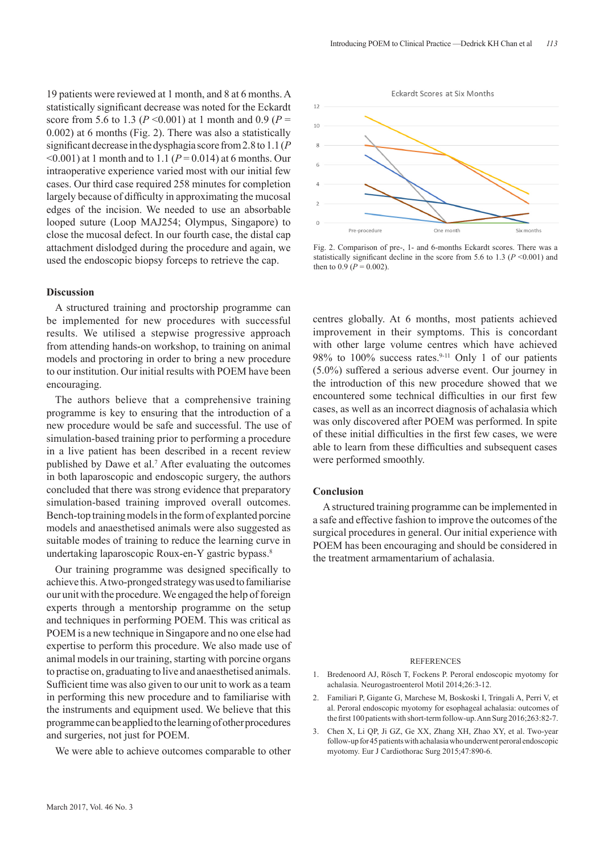19 patients were reviewed at 1 month, and 8 at 6 months. A statistically significant decrease was noted for the Eckardt score from 5.6 to 1.3 ( $P \le 0.001$ ) at 1 month and 0.9 ( $P =$ 0.002) at 6 months (Fig. 2). There was also a statistically significant decrease in the dysphagia score from 2.8 to 1.1 (*P*   $\leq 0.001$ ) at 1 month and to 1.1 ( $P = 0.014$ ) at 6 months. Our intraoperative experience varied most with our initial few cases. Our third case required 258 minutes for completion largely because of difficulty in approximating the mucosal edges of the incision. We needed to use an absorbable looped suture (Loop MAJ254; Olympus, Singapore) to close the mucosal defect. In our fourth case, the distal cap attachment dislodged during the procedure and again, we used the endoscopic biopsy forceps to retrieve the cap.

#### **Discussion**

A structured training and proctorship programme can be implemented for new procedures with successful results. We utilised a stepwise progressive approach from attending hands-on workshop, to training on animal models and proctoring in order to bring a new procedure to our institution. Our initial results with POEM have been encouraging.

The authors believe that a comprehensive training programme is key to ensuring that the introduction of a new procedure would be safe and successful. The use of simulation-based training prior to performing a procedure in a live patient has been described in a recent review published by Dawe et al.7 After evaluating the outcomes in both laparoscopic and endoscopic surgery, the authors concluded that there was strong evidence that preparatory simulation-based training improved overall outcomes. Bench-top training models in the form of explanted porcine models and anaesthetised animals were also suggested as suitable modes of training to reduce the learning curve in undertaking laparoscopic Roux-en-Y gastric bypass.<sup>8</sup>

Our training programme was designed specifically to achieve this. A two-pronged strategy was used to familiarise our unit with the procedure. We engaged the help of foreign experts through a mentorship programme on the setup and techniques in performing POEM. This was critical as POEM is a new technique in Singapore and no one else had expertise to perform this procedure. We also made use of animal models in our training, starting with porcine organs to practise on, graduating to live and anaesthetised animals. Sufficient time was also given to our unit to work as a team in performing this new procedure and to familiarise with the instruments and equipment used. We believe that this programme can be applied to the learning of other procedures and surgeries, not just for POEM.

We were able to achieve outcomes comparable to other



Fig. 2. Comparison of pre-, 1- and 6-months Eckardt scores. There was a statistically significant decline in the score from 5.6 to 1.3 ( $P \le 0.001$ ) and then to  $0.9 (P = 0.002)$ .

centres globally. At 6 months, most patients achieved improvement in their symptoms. This is concordant with other large volume centres which have achieved 98% to  $100\%$  success rates.<sup>9-11</sup> Only 1 of our patients (5.0%) suffered a serious adverse event. Our journey in the introduction of this new procedure showed that we encountered some technical difficulties in our first few cases, as well as an incorrect diagnosis of achalasia which was only discovered after POEM was performed. In spite of these initial difficulties in the first few cases, we were able to learn from these difficulties and subsequent cases were performed smoothly.

#### **Conclusion**

 A structured training programme can be implemented in a safe and effective fashion to improve the outcomes of the surgical procedures in general. Our initial experience with POEM has been encouraging and should be considered in the treatment armamentarium of achalasia.

#### REFERENCES

- 1. Bredenoord AJ, Rösch T, Fockens P. Peroral endoscopic myotomy for achalasia. Neurogastroenterol Motil 2014;26:3-12.
- 2. Familiari P, Gigante G, Marchese M, Boskoski I, Tringali A, Perri V, et al. Peroral endoscopic myotomy for esophageal achalasia: outcomes of the first 100 patients with short-term follow-up. Ann Surg 2016;263:82-7.
- 3. Chen X, Li QP, Ji GZ, Ge XX, Zhang XH, Zhao XY, et al. Two-year follow-up for 45 patients with achalasia who underwent peroral endoscopic myotomy. Eur J Cardiothorac Surg 2015;47:890-6.